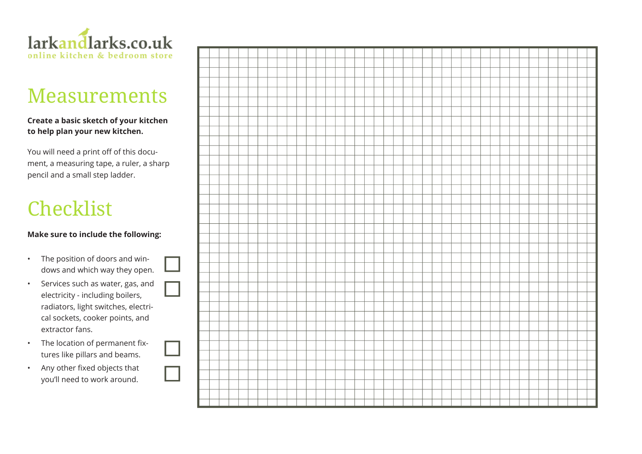

# Measurements

#### **Create a basic sketch of your kitchen to help plan your new kitchen.**

You will need a print off of this document, a measuring tape, a ruler, a sharp pencil and a small step ladder.

# Checklist

#### **Make sure to include the following:**

- The position of doors and windows and which way they open.
- Services such as water, gas, and electricity - including boilers, radiators, light switches, electrical sockets, cooker points, and extractor fans.
- The location of permanent fixtures like pillars and beams.
- Any other fixed objects that you'll need to work around.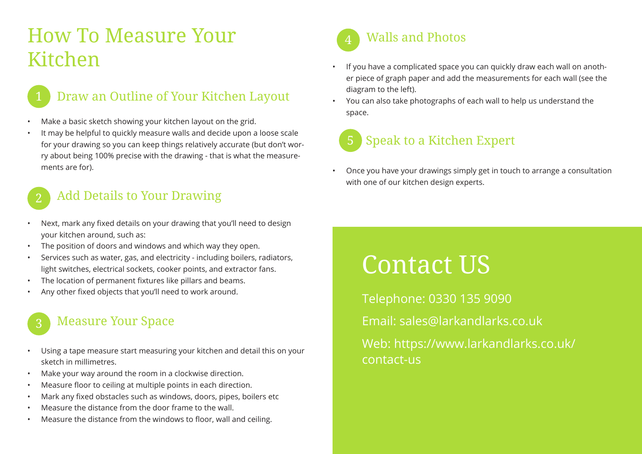# How To Measure Your Kitchen



### Draw an Outline of Your Kitchen Layout

- Make a basic sketch showing your kitchen layout on the grid.
- It may be helpful to quickly measure walls and decide upon a loose scale for your drawing so you can keep things relatively accurate (but don't worry about being 100% precise with the drawing - that is what the measurements are for).

#### 2 Add Details to Your Drawing

- Next, mark any fixed details on your drawing that you'll need to design your kitchen around, such as:
- The position of doors and windows and which way they open.
- Services such as water, gas, and electricity including boilers, radiators, light switches, electrical sockets, cooker points, and extractor fans.
- The location of permanent fixtures like pillars and beams.
- Any other fixed objects that you'll need to work around.

## Measure Your Space

- Using a tape measure start measuring your kitchen and detail this on your sketch in millimetres.
- Make your way around the room in a clockwise direction.
- Measure floor to ceiling at multiple points in each direction.
- Mark any fixed obstacles such as windows, doors, pipes, boilers etc
- Measure the distance from the door frame to the wall.
- Measure the distance from the windows to floor, wall and ceiling.



- If you have a complicated space you can quickly draw each wall on another piece of graph paper and add the measurements for each wall (see the diagram to the left).
- You can also take photographs of each wall to help us understand the space.



• Once you have your drawings simply get in touch to arrange a consultation with one of our kitchen design experts.

# Contact US

Telephone: 0330 135 9090 Email: sales@larkandlarks.co.uk Web: https://www.larkandlarks.co.uk/ contact-us